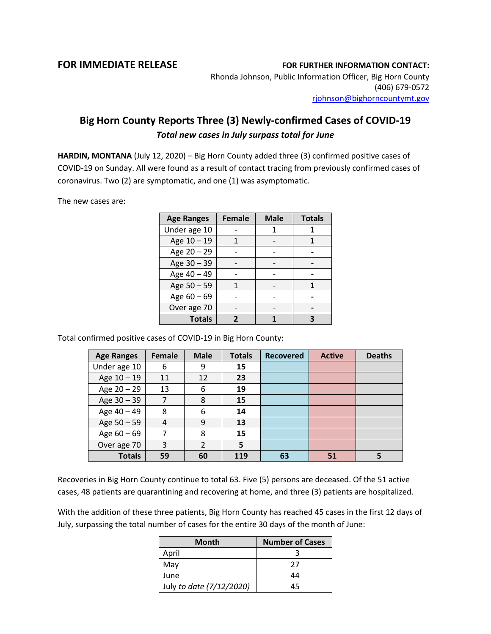## **FOR IMMEDIATE RELEASE FOR FURTHER INFORMATION CONTACT:**

Rhonda Johnson, Public Information Officer, Big Horn County (406) 679-0572 [rjohnson@bighorncountymt.gov](mailto:rjohnson@bighorncountymt.gov)

## **Big Horn County Reports Three (3) Newly-confirmed Cases of COVID-19**  *Total new cases in July surpass total for June*

**HARDIN, MONTANA** (July 12, 2020) – Big Horn County added three (3) confirmed positive cases of COVID-19 on Sunday. All were found as a result of contact tracing from previously confirmed cases of coronavirus. Two (2) are symptomatic, and one (1) was asymptomatic.

The new cases are:

| <b>Age Ranges</b> | <b>Female</b> | <b>Male</b> | <b>Totals</b> |  |
|-------------------|---------------|-------------|---------------|--|
| Under age 10      |               |             |               |  |
| Age 10 - 19       | 1             |             |               |  |
| Age 20 - 29       |               |             |               |  |
| Age 30 - 39       |               |             |               |  |
| Age 40 - 49       |               |             |               |  |
| Age 50 - 59       |               |             |               |  |
| Age 60 - 69       |               |             |               |  |
| Over age 70       |               |             |               |  |
| <b>Totals</b>     |               |             |               |  |

Total confirmed positive cases of COVID-19 in Big Horn County:

| <b>Age Ranges</b> | Female | <b>Male</b>    | <b>Totals</b> | <b>Recovered</b> | <b>Active</b> | <b>Deaths</b> |
|-------------------|--------|----------------|---------------|------------------|---------------|---------------|
| Under age 10      | 6      | 9              | 15            |                  |               |               |
| Age 10 - 19       | 11     | 12             | 23            |                  |               |               |
| Age 20 - 29       | 13     | 6              | 19            |                  |               |               |
| Age 30 - 39       | 7      | 8              | 15            |                  |               |               |
| Age 40 - 49       | 8      | 6              | 14            |                  |               |               |
| Age 50 - 59       | 4      | 9              | 13            |                  |               |               |
| Age $60 - 69$     |        | 8              | 15            |                  |               |               |
| Over age 70       | 3      | $\overline{2}$ | 5             |                  |               |               |
| <b>Totals</b>     | 59     | 60             | 119           | 63               | 51            |               |

Recoveries in Big Horn County continue to total 63. Five (5) persons are deceased. Of the 51 active cases, 48 patients are quarantining and recovering at home, and three (3) patients are hospitalized.

With the addition of these three patients, Big Horn County has reached 45 cases in the first 12 days of July, surpassing the total number of cases for the entire 30 days of the month of June:

| <b>Month</b>             | <b>Number of Cases</b> |  |  |
|--------------------------|------------------------|--|--|
| April                    |                        |  |  |
| May                      | 27                     |  |  |
| June                     | 44                     |  |  |
| July to date (7/12/2020) | 45                     |  |  |